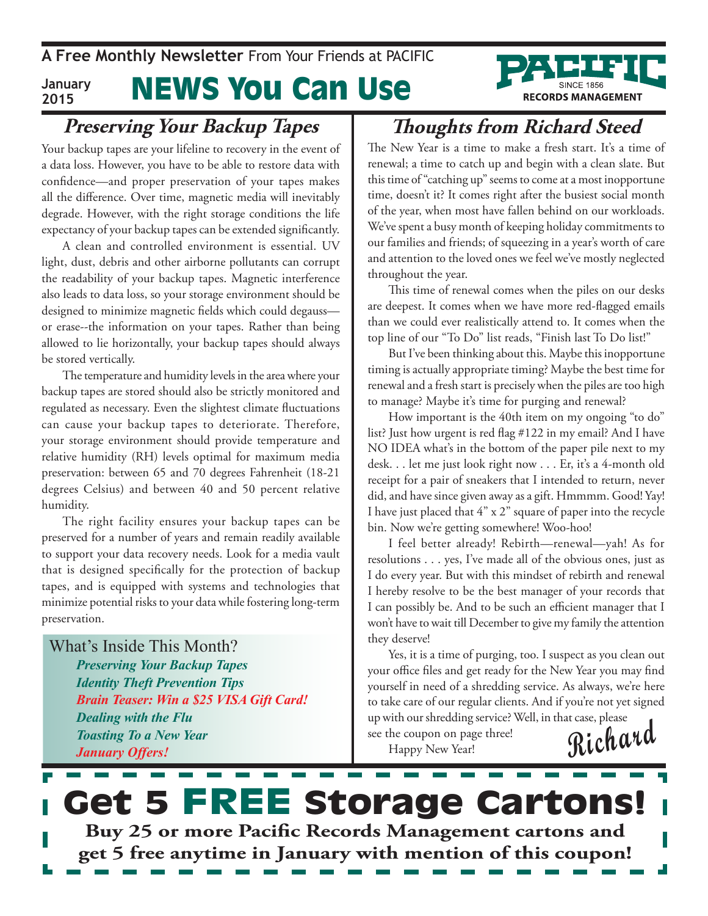

#### **Preserving Your Backup Tapes**

Your backup tapes are your lifeline to recovery in the event of a data loss. However, you have to be able to restore data with confidence—and proper preservation of your tapes makes all the difference. Over time, magnetic media will inevitably degrade. However, with the right storage conditions the life expectancy of your backup tapes can be extended significantly.

A clean and controlled environment is essential. UV light, dust, debris and other airborne pollutants can corrupt the readability of your backup tapes. Magnetic interference also leads to data loss, so your storage environment should be designed to minimize magnetic fields which could degauss or erase--the information on your tapes. Rather than being allowed to lie horizontally, your backup tapes should always be stored vertically.

The temperature and humidity levels in the area where your backup tapes are stored should also be strictly monitored and regulated as necessary. Even the slightest climate fluctuations can cause your backup tapes to deteriorate. Therefore, your storage environment should provide temperature and relative humidity (RH) levels optimal for maximum media preservation: between 65 and 70 degrees Fahrenheit (18-21 degrees Celsius) and between 40 and 50 percent relative humidity.

The right facility ensures your backup tapes can be preserved for a number of years and remain readily available to support your data recovery needs. Look for a media vault that is designed specifically for the protection of backup tapes, and is equipped with systems and technologies that minimize potential risks to your data while fostering long-term preservation.

What's Inside This Month? *Preserving Your Backup Tapes Identity Theft Prevention Tips Brain Teaser: Win a \$25 VISA Gift Card! Dealing with the Flu Toasting To a New Year January Offers!*

### **Thoughts from Richard Steed**

The New Year is a time to make a fresh start. It's a time of renewal; a time to catch up and begin with a clean slate. But this time of "catching up" seems to come at a most inopportune time, doesn't it? It comes right after the busiest social month of the year, when most have fallen behind on our workloads. We've spent a busy month of keeping holiday commitments to our families and friends; of squeezing in a year's worth of care and attention to the loved ones we feel we've mostly neglected throughout the year.

This time of renewal comes when the piles on our desks are deepest. It comes when we have more red-flagged emails than we could ever realistically attend to. It comes when the top line of our "To Do" list reads, "Finish last To Do list!"

But I've been thinking about this. Maybe this inopportune timing is actually appropriate timing? Maybe the best time for renewal and a fresh start is precisely when the piles are too high to manage? Maybe it's time for purging and renewal?

How important is the 40th item on my ongoing "to do" list? Just how urgent is red flag #122 in my email? And I have NO IDEA what's in the bottom of the paper pile next to my desk. . . let me just look right now . . . Er, it's a 4-month old receipt for a pair of sneakers that I intended to return, never did, and have since given away as a gift. Hmmmm. Good! Yay! I have just placed that 4" x 2" square of paper into the recycle bin. Now we're getting somewhere! Woo-hoo!

I feel better already! Rebirth—renewal—yah! As for resolutions . . . yes, I've made all of the obvious ones, just as I do every year. But with this mindset of rebirth and renewal I hereby resolve to be the best manager of your records that I can possibly be. And to be such an efficient manager that I won't have to wait till December to give my family the attention they deserve!

Yes, it is a time of purging, too. I suspect as you clean out your office files and get ready for the New Year you may find yourself in need of a shredding service. As always, we're here to take care of our regular clients. And if you're not yet signed up with our shredding service? Well, in that case, please

**Richard**

see the coupon on page three! Happy New Year!

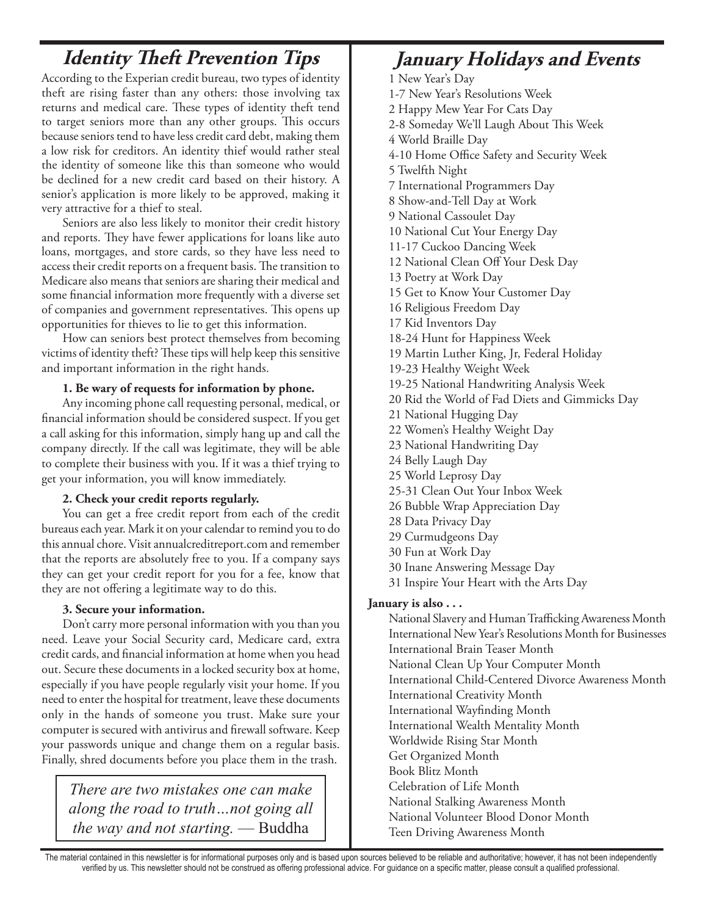### **Identity Theft Prevention Tips January Holidays and Events**

According to the Experian credit bureau, two types of identity theft are rising faster than any others: those involving tax returns and medical care. These types of identity theft tend to target seniors more than any other groups. This occurs because seniors tend to have less credit card debt, making them a low risk for creditors. An identity thief would rather steal the identity of someone like this than someone who would be declined for a new credit card based on their history. A senior's application is more likely to be approved, making it very attractive for a thief to steal.

Seniors are also less likely to monitor their credit history and reports. They have fewer applications for loans like auto loans, mortgages, and store cards, so they have less need to access their credit reports on a frequent basis. The transition to Medicare also means that seniors are sharing their medical and some financial information more frequently with a diverse set of companies and government representatives. This opens up opportunities for thieves to lie to get this information.

How can seniors best protect themselves from becoming victims of identity theft? These tips will help keep this sensitive and important information in the right hands.

#### **1. Be wary of requests for information by phone.**

Any incoming phone call requesting personal, medical, or financial information should be considered suspect. If you get a call asking for this information, simply hang up and call the company directly. If the call was legitimate, they will be able to complete their business with you. If it was a thief trying to get your information, you will know immediately.

#### **2. Check your credit reports regularly.**

You can get a free credit report from each of the credit bureaus each year. Mark it on your calendar to remind you to do this annual chore. Visit annualcreditreport.com and remember that the reports are absolutely free to you. If a company says they can get your credit report for you for a fee, know that they are not offering a legitimate way to do this.

#### **3. Secure your information.**

Don't carry more personal information with you than you need. Leave your Social Security card, Medicare card, extra credit cards, and financial information at home when you head out. Secure these documents in a locked security box at home, especially if you have people regularly visit your home. If you need to enter the hospital for treatment, leave these documents only in the hands of someone you trust. Make sure your computer is secured with antivirus and firewall software. Keep your passwords unique and change them on a regular basis. Finally, shred documents before you place them in the trash.

*There are two mistakes one can make along the road to truth…not going all the way and not starting.* — Buddha

1 New Year's Day

- 1-7 New Year's Resolutions Week
- 2 Happy Mew Year For Cats Day
- 2-8 Someday We'll Laugh About This Week
- 4 World Braille Day
- 4-10 Home Office Safety and Security Week
- 5 Twelfth Night
- 7 International Programmers Day
- 8 Show-and-Tell Day at Work
- 9 National Cassoulet Day
- 10 National Cut Your Energy Day
- 11-17 Cuckoo Dancing Week
- 12 National Clean Off Your Desk Day
- 13 Poetry at Work Day
- 15 Get to Know Your Customer Day
- 16 Religious Freedom Day
- 17 Kid Inventors Day
- 18-24 Hunt for Happiness Week
- 19 Martin Luther King, Jr, Federal Holiday
- 19-23 Healthy Weight Week
- 19-25 National Handwriting Analysis Week
- 20 Rid the World of Fad Diets and Gimmicks Day
- 21 National Hugging Day
- 22 Women's Healthy Weight Day
- 23 National Handwriting Day
- 24 Belly Laugh Day
- 25 World Leprosy Day
- 25-31 Clean Out Your Inbox Week
- 26 Bubble Wrap Appreciation Day
- 28 Data Privacy Day
- 29 Curmudgeons Day
- 30 Fun at Work Day
- 30 Inane Answering Message Day
- 31 Inspire Your Heart with the Arts Day

#### **January is also . . .**

National Slavery and Human Trafficking Awareness Month International New Year's Resolutions Month for Businesses International Brain Teaser Month National Clean Up Your Computer Month International Child-Centered Divorce Awareness Month International Creativity Month International Wayfinding Month International Wealth Mentality Month Worldwide Rising Star Month Get Organized Month Book Blitz Month Celebration of Life Month National Stalking Awareness Month National Volunteer Blood Donor Month Teen Driving Awareness Month

The material contained in this newsletter is for informational purposes only and is based upon sources believed to be reliable and authoritative; however, it has not been independently verified by us. This newsletter should not be construed as offering professional advice. For guidance on a specific matter, please consult a qualified professional.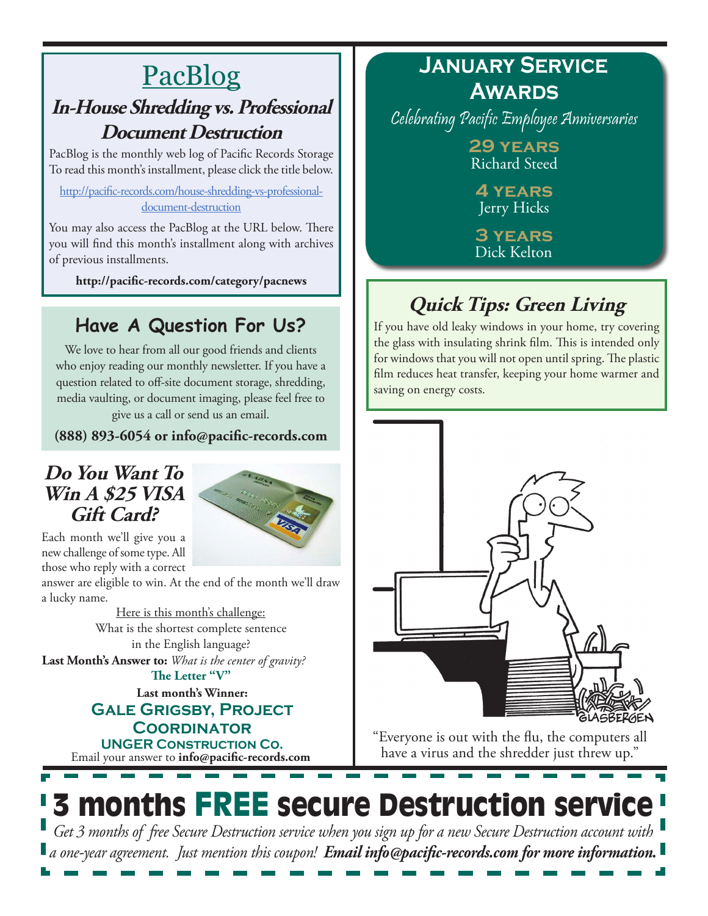### PacBlog **In-House Shredding vs. Professional Document Destruction**

PacBlog is the monthly web log of Pacific Records Storage To read this month's installment, please click the title below.

[http://pacific-records.com/house-shredding-vs-professional](http://pacific-records.com/house-shredding-vs-professional-document-destruction)[document-destruction](http://pacific-records.com/house-shredding-vs-professional-document-destruction)

You may also access the PacBlog at the URL below. There you will find this month's installment along with archives of previous installments.

**http://pacific-records.com/category/pacnews**

### **Have A Question For Us?**

We love to hear from all our good friends and clients who enjoy reading our monthly newsletter. If you have a question related to off-site document storage, shredding, media vaulting, or document imaging, please feel free to give us a call or send us an email.

**(888) 893-6054 or info@pacific-records.com**

#### **Do You Want To Win A \$25 VISA Gift Card?**



Each month we'll give you a new challenge of some type. All those who reply with a correct

answer are eligible to win. At the end of the month we'll draw a lucky name.

> Here is this month's challenge: What is the shortest complete sentence in the English language?

**Last Month's Answer to:** *What is the center of gravity?* **The Letter "V"**

**Last month's Winner:**

**Gale Grigsby, Project Coordinator**

Email your answer to **info@pacific-records.com UNGER Construction Co.**

### **January Service Awards**

Celebrating Pacific Employee Anniversaries

**29 years** Richard Steed

**4 years** Jerry Hicks

**3 years** Dick Kelton

# **Quick Tips: Green Living**

If you have old leaky windows in your home, try covering the glass with insulating shrink film. This is intended only for windows that you will not open until spring. The plastic film reduces heat transfer, keeping your home warmer and saving on energy costs.



"Everyone is out with the flu, the computers all have a virus and the shredder just threw up."

# 3 months FREE secure Destruction service *Get 3 months of free Secure Destruction service when you sign up for a new Secure Destruction account with*

*a one-year agreement. Just mention this coupon! Email info@pacific-records.com for more information.*